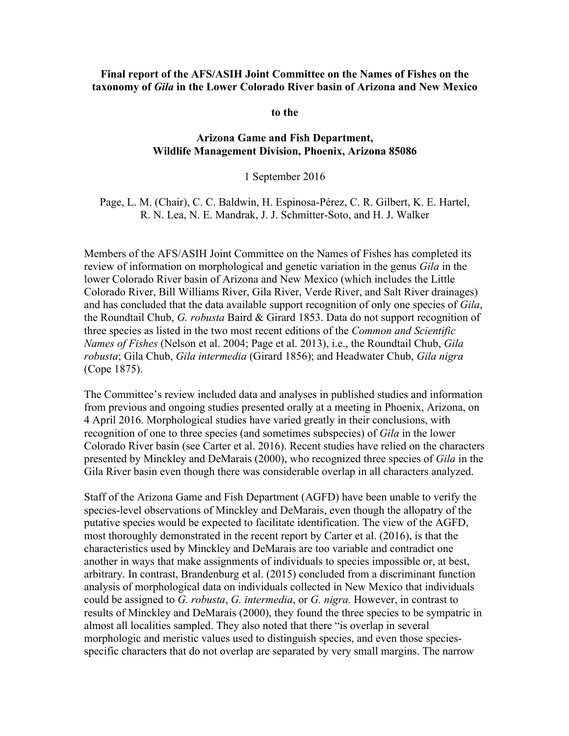## **Final report of the AFS/ASIH Joint Committee on the Names of Fishes on the taxonomy of** *Gila* **in the Lower Colorado River basin of Arizona and New Mexico**

**to the**

## **Arizona Game and Fish Department, Wildlife Management Division, Phoenix, Arizona 85086**

1 September 2016

Page, L. M. (Chair), C. C. Baldwin, H. Espinosa-Pérez, C. R. Gilbert, K. E. Hartel, R. N. Lea, N. E. Mandrak, J. J. Schmitter-Soto, and H. J. Walker

Members of the AFS/ASIH Joint Committee on the Names of Fishes has completed its review of information on morphological and genetic variation in the genus *Gila* in the lower Colorado River basin of Arizona and New Mexico (which includes the Little Colorado River, Bill Williams River, Gila River, Verde River, and Salt River drainages) and has concluded that the data available support recognition of only one species of *Gila*, the Roundtail Chub, *G. robusta* Baird & Girard 1853. Data do not support recognition of three species as listed in the two most recent editions of the *Common and Scientific Names of Fishes* (Nelson et al. 2004; Page et al. 2013), i.e., the Roundtail Chub, *Gila robusta*; Gila Chub, *Gila intermedia* (Girard 1856); and Headwater Chub, *Gila nigra* (Cope 1875).

The Committee's review included data and analyses in published studies and information from previous and ongoing studies presented orally at a meeting in Phoenix, Arizona, on 4 April 2016. Morphological studies have varied greatly in their conclusions, with recognition of one to three species (and sometimes subspecies) of *Gila* in the lower Colorado River basin (see Carter et al. 2016). Recent studies have relied on the characters presented by Minckley and DeMarais (2000), who recognized three species of *Gila* in the Gila River basin even though there was considerable overlap in all characters analyzed.

Staff of the Arizona Game and Fish Department (AGFD) have been unable to verify the species-level observations of Minckley and DeMarais, even though the allopatry of the putative species would be expected to facilitate identification. The view of the AGFD, most thoroughly demonstrated in the recent report by Carter et al. (2016), is that the characteristics used by Minckley and DeMarais are too variable and contradict one another in ways that make assignments of individuals to species impossible or, at best, arbitrary. In contrast, Brandenburg et al. (2015) concluded from a discriminant function analysis of morphological data on individuals collected in New Mexico that individuals could be assigned to *G. robusta*, *G. intermedia*, or *G. nigra.* However, in contrast to results of Minckley and DeMarais (2000), they found the three species to be sympatric in almost all localities sampled. They also noted that there "is overlap in several morphologic and meristic values used to distinguish species, and even those speciesspecific characters that do not overlap are separated by very small margins. The narrow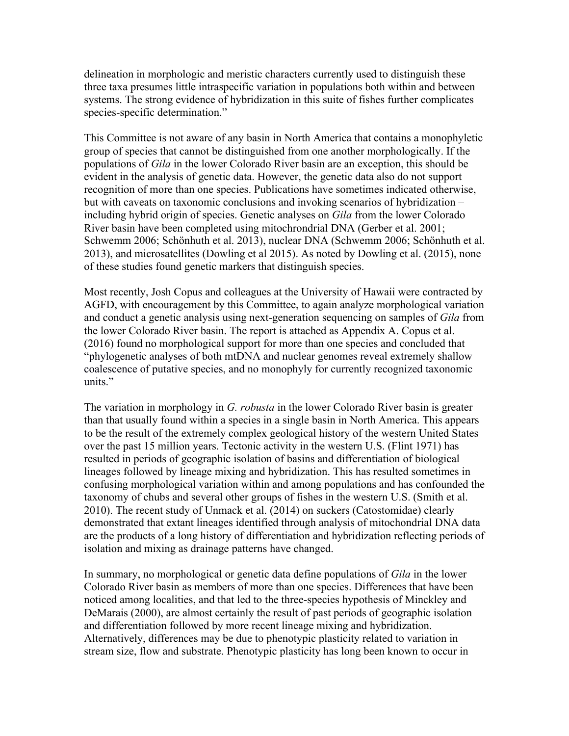delineation in morphologic and meristic characters currently used to distinguish these three taxa presumes little intraspecific variation in populations both within and between systems. The strong evidence of hybridization in this suite of fishes further complicates species-specific determination."

This Committee is not aware of any basin in North America that contains a monophyletic group of species that cannot be distinguished from one another morphologically. If the populations of *Gila* in the lower Colorado River basin are an exception, this should be evident in the analysis of genetic data. However, the genetic data also do not support recognition of more than one species. Publications have sometimes indicated otherwise, but with caveats on taxonomic conclusions and invoking scenarios of hybridization – including hybrid origin of species. Genetic analyses on *Gila* from the lower Colorado River basin have been completed using mitochrondrial DNA (Gerber et al. 2001; Schwemm 2006; Schönhuth et al. 2013), nuclear DNA (Schwemm 2006; Schönhuth et al. 2013), and microsatellites (Dowling et al 2015). As noted by Dowling et al. (2015), none of these studies found genetic markers that distinguish species.

Most recently, Josh Copus and colleagues at the University of Hawaii were contracted by AGFD, with encouragement by this Committee, to again analyze morphological variation and conduct a genetic analysis using next-generation sequencing on samples of *Gila* from the lower Colorado River basin. The report is attached as Appendix A. Copus et al. (2016) found no morphological support for more than one species and concluded that "phylogenetic analyses of both mtDNA and nuclear genomes reveal extremely shallow coalescence of putative species, and no monophyly for currently recognized taxonomic units."

The variation in morphology in *G. robusta* in the lower Colorado River basin is greater than that usually found within a species in a single basin in North America. This appears to be the result of the extremely complex geological history of the western United States over the past 15 million years. Tectonic activity in the western U.S. (Flint 1971) has resulted in periods of geographic isolation of basins and differentiation of biological lineages followed by lineage mixing and hybridization. This has resulted sometimes in confusing morphological variation within and among populations and has confounded the taxonomy of chubs and several other groups of fishes in the western U.S. (Smith et al. 2010). The recent study of Unmack et al. (2014) on suckers (Catostomidae) clearly demonstrated that extant lineages identified through analysis of mitochondrial DNA data are the products of a long history of differentiation and hybridization reflecting periods of isolation and mixing as drainage patterns have changed.

In summary, no morphological or genetic data define populations of *Gila* in the lower Colorado River basin as members of more than one species. Differences that have been noticed among localities, and that led to the three-species hypothesis of Minckley and DeMarais (2000), are almost certainly the result of past periods of geographic isolation and differentiation followed by more recent lineage mixing and hybridization. Alternatively, differences may be due to phenotypic plasticity related to variation in stream size, flow and substrate. Phenotypic plasticity has long been known to occur in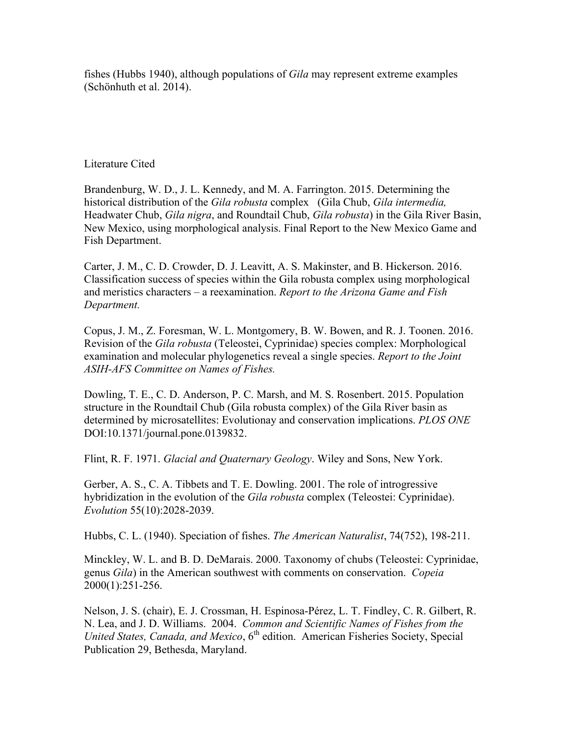fishes (Hubbs 1940), although populations of *Gila* may represent extreme examples (Schönhuth et al. 2014).

## Literature Cited

Brandenburg, W. D., J. L. Kennedy, and M. A. Farrington. 2015. Determining the historical distribution of the *Gila robusta* complex (Gila Chub, *Gila intermedia,*  Headwater Chub, *Gila nigra*, and Roundtail Chub, *Gila robusta*) in the Gila River Basin, New Mexico, using morphological analysis. Final Report to the New Mexico Game and Fish Department.

Carter, J. M., C. D. Crowder, D. J. Leavitt, A. S. Makinster, and B. Hickerson. 2016. Classification success of species within the Gila robusta complex using morphological and meristics characters – a reexamination. *Report to the Arizona Game and Fish Department.*

Copus, J. M., Z. Foresman, W. L. Montgomery, B. W. Bowen, and R. J. Toonen. 2016. Revision of the *Gila robusta* (Teleostei, Cyprinidae) species complex: Morphological examination and molecular phylogenetics reveal a single species. *Report to the Joint ASIH-AFS Committee on Names of Fishes.*

Dowling, T. E., C. D. Anderson, P. C. Marsh, and M. S. Rosenbert. 2015. Population structure in the Roundtail Chub (Gila robusta complex) of the Gila River basin as determined by microsatellites: Evolutionay and conservation implications. *PLOS ONE* DOI:10.1371/journal.pone.0139832.

Flint, R. F. 1971. *Glacial and Quaternary Geology*. Wiley and Sons, New York.

Gerber, A. S., C. A. Tibbets and T. E. Dowling. 2001. The role of introgressive hybridization in the evolution of the *Gila robusta* complex (Teleostei: Cyprinidae). *Evolution* 55(10):2028-2039.

Hubbs, C. L. (1940). Speciation of fishes. *The American Naturalist*, 74(752), 198-211.

Minckley, W. L. and B. D. DeMarais. 2000. Taxonomy of chubs (Teleostei: Cyprinidae, genus *Gila*) in the American southwest with comments on conservation. *Copeia* 2000(1):251-256.

Nelson, J. S. (chair), E. J. Crossman, H. Espinosa-Pérez, L. T. Findley, C. R. Gilbert, R. N. Lea, and J. D. Williams. 2004. *Common and Scientific Names of Fishes from the United States, Canada, and Mexico*, 6<sup>th</sup> edition. American Fisheries Society, Special Publication 29, Bethesda, Maryland.